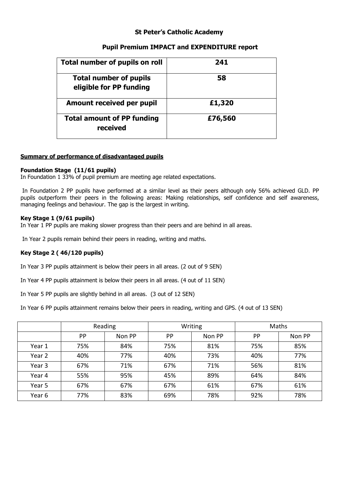## **St Peter's Catholic Academy**

## **Pupil Premium IMPACT and EXPENDITURE report**

| Total number of pupils on roll                           | 241     |
|----------------------------------------------------------|---------|
| <b>Total number of pupils</b><br>eligible for PP funding | 58      |
| Amount received per pupil                                | £1,320  |
| <b>Total amount of PP funding</b><br>received            | £76,560 |

#### **Summary of performance of disadvantaged pupils**

#### **Foundation Stage (11/61 pupils)**

In Foundation 1 33% of pupil premium are meeting age related expectations.

In Foundation 2 PP pupils have performed at a similar level as their peers although only 56% achieved GLD. PP pupils outperform their peers in the following areas: Making relationships, self confidence and self awareness, managing feelings and behaviour. The gap is the largest in writing.

#### **Key Stage 1 (9/61 pupils)**

In Year 1 PP pupils are making slower progress than their peers and are behind in all areas.

In Year 2 pupils remain behind their peers in reading, writing and maths.

## **Key Stage 2 ( 46/120 pupils)**

In Year 3 PP pupils attainment is below their peers in all areas. (2 out of 9 SEN)

In Year 4 PP pupils attainment is below their peers in all areas. (4 out of 11 SEN)

In Year 5 PP pupils are slightly behind in all areas. (3 out of 12 SEN)

In Year 6 PP pupils attainment remains below their peers in reading, writing and GPS. (4 out of 13 SEN)

|        | Reading   |        | Writing |        | Maths     |        |
|--------|-----------|--------|---------|--------|-----------|--------|
|        | <b>PP</b> | Non PP | PP      | Non PP | <b>PP</b> | Non PP |
| Year 1 | 75%       | 84%    | 75%     | 81%    | 75%       | 85%    |
| Year 2 | 40%       | 77%    | 40%     | 73%    | 40%       | 77%    |
| Year 3 | 67%       | 71%    | 67%     | 71%    | 56%       | 81%    |
| Year 4 | 55%       | 95%    | 45%     | 89%    | 64%       | 84%    |
| Year 5 | 67%       | 67%    | 67%     | 61%    | 67%       | 61%    |
| Year 6 | 77%       | 83%    | 69%     | 78%    | 92%       | 78%    |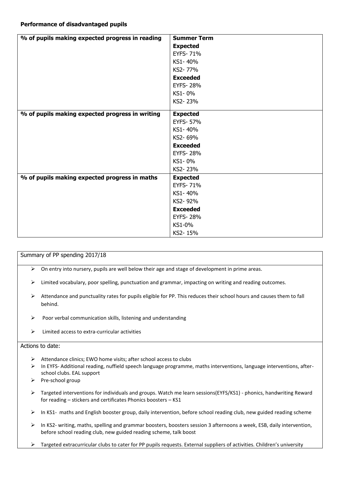| % of pupils making expected progress in reading | <b>Summer Term</b> |
|-------------------------------------------------|--------------------|
|                                                 | <b>Expected</b>    |
|                                                 | <b>EYFS-71%</b>    |
|                                                 | KS1-40%            |
|                                                 | KS2-77%            |
|                                                 | <b>Exceeded</b>    |
|                                                 | <b>EYFS-28%</b>    |
|                                                 | KS1-0%             |
|                                                 | KS2-23%            |
| % of pupils making expected progress in writing | <b>Expected</b>    |
|                                                 | <b>EYFS-57%</b>    |
|                                                 | KS1-40%            |
|                                                 | KS2-69%            |
|                                                 | <b>Exceeded</b>    |
|                                                 | <b>EYFS-28%</b>    |
|                                                 | KS1-0%             |
|                                                 | KS2-23%            |
| % of pupils making expected progress in maths   | <b>Expected</b>    |
|                                                 | <b>EYFS-71%</b>    |
|                                                 | KS1-40%            |
|                                                 | KS2-92%            |
|                                                 | <b>Exceeded</b>    |
|                                                 | <b>EYFS-28%</b>    |
|                                                 | KS1-0%             |
|                                                 | KS2-15%            |

Summary of PP spending 2017/18

- $\triangleright$  On entry into nursery, pupils are well below their age and stage of development in prime areas.
- $\triangleright$  Limited vocabulary, poor spelling, punctuation and grammar, impacting on writing and reading outcomes.
- $\triangleright$  Attendance and punctuality rates for pupils eligible for PP. This reduces their school hours and causes them to fall behind.
- $\triangleright$  Poor verbal communication skills, listening and understanding
- $\triangleright$  Limited access to extra-curricular activities

#### Actions to date:

- $\triangleright$  Attendance clinics; EWO home visits; after school access to clubs
- $\triangleright$  In EYFS- Additional reading, nuffield speech language programme, maths interventions, language interventions, afterschool clubs. EAL support
- $\triangleright$  Pre-school group
- Targeted interventions for individuals and groups. Watch me learn sessions(EYFS/KS1) phonics, handwriting Reward for reading – stickers and certificates Phonics boosters – KS1
- $\triangleright$  In KS1- maths and English booster group, daily intervention, before school reading club, new guided reading scheme
- $\triangleright$  In KS2- writing, maths, spelling and grammar boosters, boosters session 3 afternoons a week, ESB, daily intervention, before school reading club, new guided reading scheme, talk boost
- $\triangleright$  Targeted extracurricular clubs to cater for PP pupils requests. External suppliers of activities. Children's university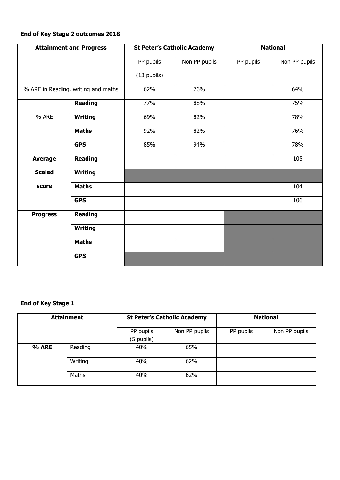## **End of Key Stage 2 outcomes 2018**

| <b>Attainment and Progress</b> |                                     |               | <b>National</b><br><b>St Peter's Catholic Academy</b> |           |               |
|--------------------------------|-------------------------------------|---------------|-------------------------------------------------------|-----------|---------------|
|                                |                                     | PP pupils     | Non PP pupils                                         | PP pupils | Non PP pupils |
|                                |                                     | $(13$ pupils) |                                                       |           |               |
|                                | % ARE in Reading, writing and maths | 62%           | 76%                                                   |           | 64%           |
|                                | <b>Reading</b>                      | 77%           | 88%                                                   |           | 75%           |
| % ARE                          | <b>Writing</b>                      | 69%           | 82%                                                   |           | 78%           |
|                                | <b>Maths</b>                        | 92%           | 82%                                                   |           | 76%           |
|                                | <b>GPS</b>                          | 85%           | 94%                                                   |           | 78%           |
| <b>Average</b>                 | <b>Reading</b>                      |               |                                                       |           | 105           |
| <b>Scaled</b>                  | <b>Writing</b>                      |               |                                                       |           |               |
| score                          | <b>Maths</b>                        |               |                                                       |           | 104           |
|                                | <b>GPS</b>                          |               |                                                       |           | 106           |
| <b>Progress</b>                | <b>Reading</b>                      |               |                                                       |           |               |
|                                | <b>Writing</b>                      |               |                                                       |           |               |
|                                | <b>Maths</b>                        |               |                                                       |           |               |
|                                | <b>GPS</b>                          |               |                                                       |           |               |

## **End of Key Stage 1**

| <b>Attainment</b> |         | <b>St Peter's Catholic Academy</b> |               | <b>National</b> |               |
|-------------------|---------|------------------------------------|---------------|-----------------|---------------|
|                   |         | PP pupils<br>(5 pupils)            | Non PP pupils | PP pupils       | Non PP pupils |
| % ARE             | Reading | 40%                                | 65%           |                 |               |
|                   | Writing | 40%                                | 62%           |                 |               |
|                   | Maths   | 40%                                | 62%           |                 |               |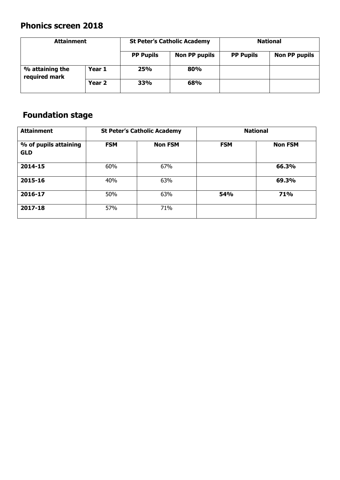# **Phonics screen 2018**

| <b>Attainment</b>                |        | <b>St Peter's Catholic Academy</b> |                      | <b>National</b>  |                      |
|----------------------------------|--------|------------------------------------|----------------------|------------------|----------------------|
|                                  |        | <b>PP Pupils</b>                   | <b>Non PP pupils</b> | <b>PP Pupils</b> | <b>Non PP pupils</b> |
| % attaining the<br>required mark | Year 1 | 25%                                | 80%                  |                  |                      |
|                                  | Year 2 | 33%                                | 68%                  |                  |                      |

# **Foundation stage**

| <b>Attainment</b>                   | <b>St Peter's Catholic Academy</b> |                |            | <b>National</b> |
|-------------------------------------|------------------------------------|----------------|------------|-----------------|
| % of pupils attaining<br><b>GLD</b> | <b>FSM</b>                         | <b>Non FSM</b> | <b>FSM</b> | <b>Non FSM</b>  |
| 2014-15                             | 60%                                | 67%            |            | 66.3%           |
| 2015-16                             | 40%                                | 63%            |            | 69.3%           |
| 2016-17                             | 50%                                | 63%            | <b>54%</b> | 71%             |
| 2017-18                             | 57%                                | 71%            |            |                 |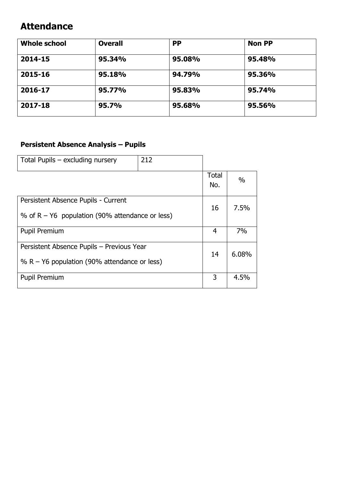# **Attendance**

| <b>Whole school</b> | <b>Overall</b> | <b>PP</b> | <b>Non PP</b> |
|---------------------|----------------|-----------|---------------|
| 2014-15             | 95.34%         | 95.08%    | 95.48%        |
| 2015-16             | 95.18%         | 94.79%    | 95.36%        |
| 2016-17             | 95.77%         | 95.83%    | 95.74%        |
| 2017-18             | 95.7%          | 95.68%    | 95.56%        |

# **Persistent Absence Analysis – Pupils**

| Total Pupils – excluding nursery                  | 212 |                     |       |
|---------------------------------------------------|-----|---------------------|-------|
|                                                   |     | <b>Total</b><br>No. | $\%$  |
| Persistent Absence Pupils - Current               |     | 16                  | 7.5%  |
| % of $R - Y6$ population (90% attendance or less) |     |                     |       |
| <b>Pupil Premium</b>                              |     | 4                   | 7%    |
| Persistent Absence Pupils - Previous Year         |     | 14                  | 6.08% |
| % R – Y6 population (90% attendance or less)      |     |                     |       |
| Pupil Premium                                     |     | 3                   | 4.5%  |